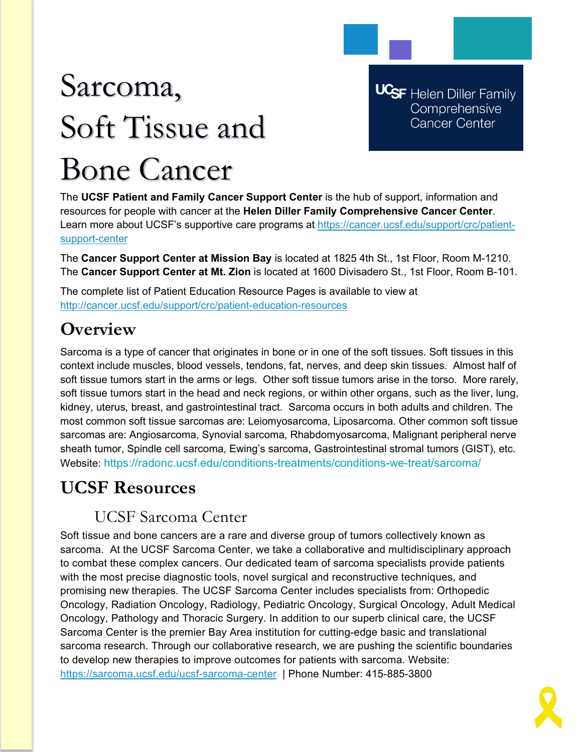# Sarcoma, Soft Tissue and Bone Cancer

**UCSF** Helen Diller Family Comprehensive **Cancer Center** 

The **UCSF Patient and Family Cancer Support Center** is the hub of support, information and resources for people with cancer at the **Helen Diller Family Comprehensive Cancer Center**. Learn more about UCSF's supportive care programs at [https://cancer.ucsf.edu/support/crc/patient](https://cancer.ucsf.edu/support/crc/patient-support-center)[support-center](https://cancer.ucsf.edu/support/crc/patient-support-center)

The **Cancer Support Center at Mission Bay** is located at 1825 4th St., 1st Floor, Room M-1210. The **Cancer Support Center at Mt. Zion** is located at 1600 Divisadero St., 1st Floor, Room B-101.

The complete list of Patient Education Resource Pages is available to view at <http://cancer.ucsf.edu/support/crc/patient-education-resources>

# **Overview**

Sarcoma is a type of cancer that originates in bone or in one of the soft tissues. Soft tissues in this context include muscles, blood vessels, tendons, fat, nerves, and deep skin tissues. Almost half of soft tissue tumors start in the arms or legs. Other soft tissue tumors arise in the torso. More rarely, soft tissue tumors start in the head and neck regions, or within other organs, such as the liver, lung, kidney, uterus, breast, and gastrointestinal tract. Sarcoma occurs in both adults and children. The most common soft tissue sarcomas are: Leiomyosarcoma, Liposarcoma. Other common soft tissue sarcomas are: Angiosarcoma, Synovial sarcoma, Rhabdomyosarcoma, Malignant peripheral nerve sheath tumor, Spindle cell sarcoma, Ewing's sarcoma, Gastrointestinal stromal tumors (GIST), etc. Website: https://radonc.ucsf.edu/conditions-treatments/conditions-we-treat/sarcoma/

## **UCSF Resources**

## UCSF Sarcoma Center

Soft tissue and bone cancers are a rare and diverse group of tumors collectively known as sarcoma. At the UCSF Sarcoma Center, we take a collaborative and multidisciplinary approach to combat these complex cancers. Our dedicated team of sarcoma specialists provide patients with the most precise diagnostic tools, novel surgical and reconstructive techniques, and promising new therapies. The UCSF Sarcoma Center includes specialists from: Orthopedic Oncology, Radiation Oncology, Radiology, Pediatric Oncology, Surgical Oncology, Adult Medical Oncology, Pathology and Thoracic Surgery. In addition to our superb clinical care, the UCSF Sarcoma Center is the premier Bay Area institution for cutting-edge basic and translational sarcoma research. Through our collaborative research, we are pushing the scientific boundaries to develop new therapies to improve outcomes for patients with sarcoma. Website: <https://sarcoma.ucsf.edu/ucsf-sarcoma-center>| Phone Number: 415-885-3800

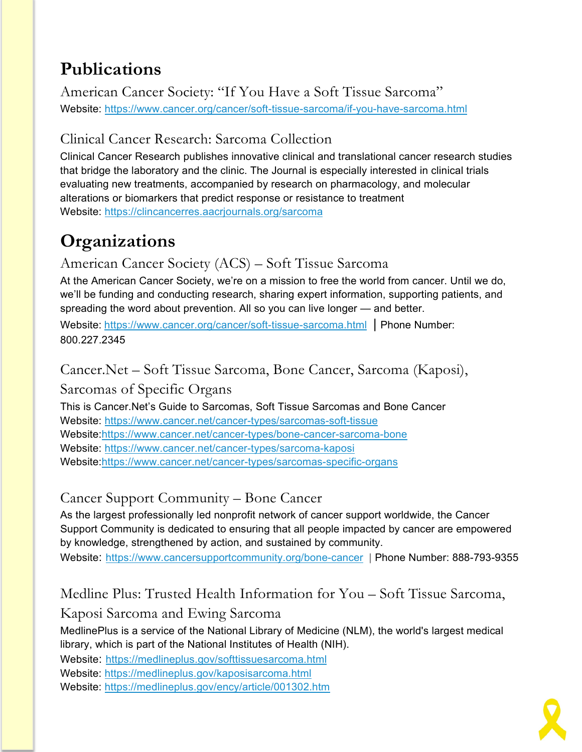# **Publications**

American Cancer Society: "If You Have a Soft Tissue Sarcoma" Website:<https://www.cancer.org/cancer/soft-tissue-sarcoma/if-you-have-sarcoma.html>

#### Clinical Cancer Research: Sarcoma Collection

Clinical Cancer Research publishes innovative clinical and translational cancer research studies that bridge the laboratory and the clinic. The Journal is especially interested in clinical trials evaluating new treatments, accompanied by research on pharmacology, and molecular alterations or biomarkers that predict response or resistance to treatment Website:<https://clincancerres.aacrjournals.org/sarcoma>

# **Organizations**

American Cancer Society (ACS) – Soft Tissue Sarcoma

At the American Cancer Society, we're on a mission to free the world from cancer. Until we do, we'll be funding and conducting research, sharing expert information, supporting patients, and spreading the word about prevention. All so you can live longer — and better.

Website: <https://www.cancer.org/cancer/soft-tissue-sarcoma.html> | Phone Number: 800.227.2345

## Cancer.Net – Soft Tissue Sarcoma, Bone Cancer, Sarcoma (Kaposi),

Sarcomas of Specific Organs

This is Cancer.Net's Guide to Sarcomas, Soft Tissue Sarcomas and Bone Cancer Website:<https://www.cancer.net/cancer-types/sarcomas-soft-tissue> Website[:https://www.cancer.net/cancer-types/bone-cancer-sarcoma-bone](https://www.cancer.net/cancer-types/bone-cancer-sarcoma-bone) Website:<https://www.cancer.net/cancer-types/sarcoma-kaposi> Website[:https://www.cancer.net/cancer-types/sarcomas-specific-organs](https://www.cancer.net/cancer-types/sarcomas-specific-organs)

## Cancer Support Community – Bone Cancer

As the largest professionally led nonprofit network of cancer support worldwide, the Cancer Support Community is dedicated to ensuring that all people impacted by cancer are empowered by knowledge, strengthened by action, and sustained by community.

Website: <https://www.cancersupportcommunity.org/bone-cancer> | Phone Number: 888-793-9355

## Medline Plus: Trusted Health Information for You – Soft Tissue Sarcoma,

#### Kaposi Sarcoma and Ewing Sarcoma

MedlinePlus is a service of the National Library of Medicine (NLM), the world's largest medical library, which is part of the National Institutes of Health (NIH).

Website: <https://medlineplus.gov/softtissuesarcoma.html>

Website:<https://medlineplus.gov/kaposisarcoma.html>

Website:<https://medlineplus.gov/ency/article/001302.htm>